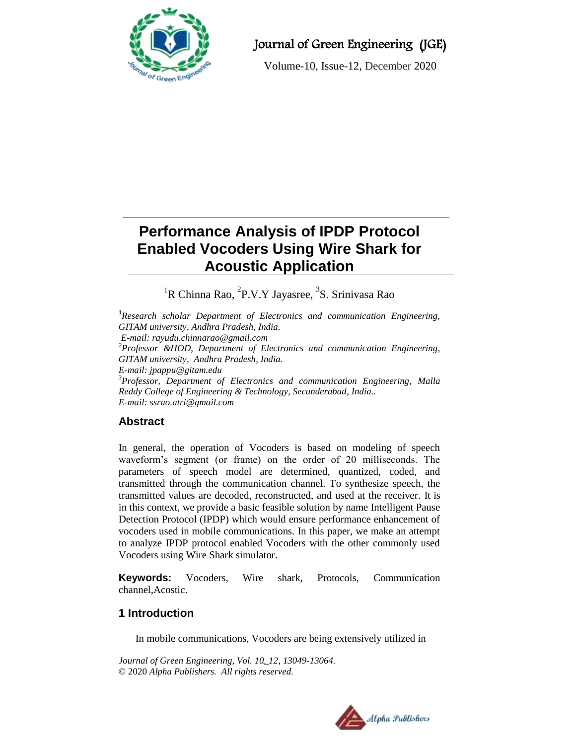

## Journal of Green Engineering (JGE)

Volume-10, Issue-12, December 2020

# **Performance Analysis of IPDP Protocol Enabled Vocoders Using Wire Shark for Acoustic Application**

<sup>1</sup>R Chinna Rao, <sup>2</sup>P.V.Y Jayasree, <sup>3</sup>S. Srinivasa Rao

**<sup>1</sup>***Research scholar Department of Electronics and communication Engineering, GITAM university, Andhra Pradesh, India. E-mail[: rayudu.chinnarao@gmail.com](mailto:rayudu.chinnarao@gmail.com) <sup>2</sup>Professor &HOD, Department of Electronics and communication Engineering, GITAM university, Andhra Pradesh, India. E-mail: [jpappu@gitam.edu](mailto:jpappu@gitam.edu) <sup>3</sup>Professor, Department of Electronics and communication Engineering, Malla Reddy College of Engineering & Technology, Secunderabad, India.. E-mail: [ssrao.atri@gmail.com](mailto:ssrao.atri@gmail.com)*

## **Abstract**

In general, the operation of Vocoders is based on modeling of speech waveform's segment (or frame) on the order of 20 milliseconds. The parameters of speech model are determined, quantized, coded, and transmitted through the communication channel. To synthesize speech, the transmitted values are decoded, reconstructed, and used at the receiver. It is in this context, we provide a basic feasible solution by name Intelligent Pause Detection Protocol (IPDP) which would ensure performance enhancement of vocoders used in mobile communications. In this paper, we make an attempt to analyze IPDP protocol enabled Vocoders with the other commonly used Vocoders using Wire Shark simulator.

**Keywords:** Vocoders, Wire shark, Protocols, Communication channel,Acostic.

## **1 Introduction**

In mobile communications, Vocoders are being extensively utilized in

*Journal of Green Engineering, Vol. 10\_12, 13049-13064.* © 2020 *Alpha Publishers. All rights reserved.*

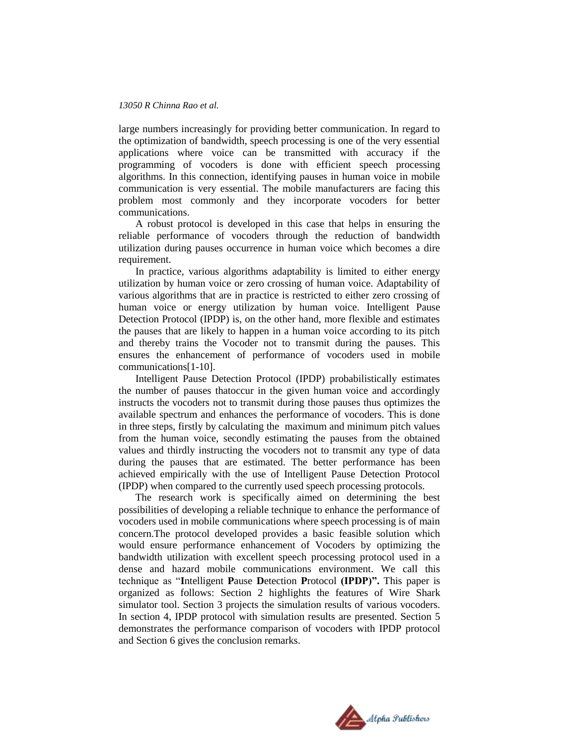large numbers increasingly for providing better communication. In regard to the optimization of bandwidth, speech processing is one of the very essential applications where voice can be transmitted with accuracy if the programming of vocoders is done with efficient speech processing algorithms. In this connection, identifying pauses in human voice in mobile communication is very essential. The mobile manufacturers are facing this problem most commonly and they incorporate vocoders for better communications.

A robust protocol is developed in this case that helps in ensuring the reliable performance of vocoders through the reduction of bandwidth utilization during pauses occurrence in human voice which becomes a dire requirement.

In practice, various algorithms adaptability is limited to either energy utilization by human voice or zero crossing of human voice. Adaptability of various algorithms that are in practice is restricted to either zero crossing of human voice or energy utilization by human voice. Intelligent Pause Detection Protocol (IPDP) is, on the other hand, more flexible and estimates the pauses that are likely to happen in a human voice according to its pitch and thereby trains the Vocoder not to transmit during the pauses. This ensures the enhancement of performance of vocoders used in mobile communications[1-10].

Intelligent Pause Detection Protocol (IPDP) probabilistically estimates the number of pauses thatoccur in the given human voice and accordingly instructs the vocoders not to transmit during those pauses thus optimizes the available spectrum and enhances the performance of vocoders. This is done in three steps, firstly by calculating the maximum and minimum pitch values from the human voice, secondly estimating the pauses from the obtained values and thirdly instructing the vocoders not to transmit any type of data during the pauses that are estimated. The better performance has been achieved empirically with the use of Intelligent Pause Detection Protocol (IPDP) when compared to the currently used speech processing protocols.

The research work is specifically aimed on determining the best possibilities of developing a reliable technique to enhance the performance of vocoders used in mobile communications where speech processing is of main concern.The protocol developed provides a basic feasible solution which would ensure performance enhancement of Vocoders by optimizing the bandwidth utilization with excellent speech processing protocol used in a dense and hazard mobile communications environment. We call this technique as "**I**ntelligent **P**ause **D**etection **P**rotocol **(IPDP)".** This paper is organized as follows: Section 2 highlights the features of Wire Shark simulator tool. Section 3 projects the simulation results of various vocoders. In section 4, IPDP protocol with simulation results are presented. Section 5 demonstrates the performance comparison of vocoders with IPDP protocol and Section 6 gives the conclusion remarks.

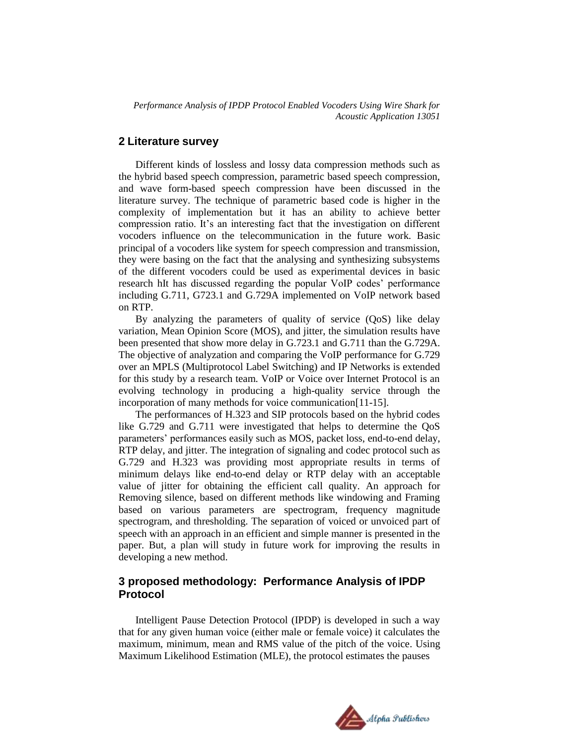#### **2 Literature survey**

Different kinds of lossless and lossy data compression methods such as the hybrid based speech compression, parametric based speech compression, and wave form-based speech compression have been discussed in the literature survey. The technique of parametric based code is higher in the complexity of implementation but it has an ability to achieve better compression ratio. It's an interesting fact that the investigation on different vocoders influence on the telecommunication in the future work. Basic principal of a vocoders like system for speech compression and transmission, they were basing on the fact that the analysing and synthesizing subsystems of the different vocoders could be used as experimental devices in basic research hIt has discussed regarding the popular VoIP codes' performance including G.711, G723.1 and G.729A implemented on VoIP network based on RTP.

By analyzing the parameters of quality of service (QoS) like delay variation, Mean Opinion Score (MOS), and jitter, the simulation results have been presented that show more delay in G.723.1 and G.711 than the G.729A. The objective of analyzation and comparing the VoIP performance for G.729 over an MPLS (Multiprotocol Label Switching) and IP Networks is extended for this study by a research team. VoIP or Voice over Internet Protocol is an evolving technology in producing a high-quality service through the incorporation of many methods for voice communication[11-15].

The performances of H.323 and SIP protocols based on the hybrid codes like G.729 and G.711 were investigated that helps to determine the QoS parameters' performances easily such as MOS, packet loss, end-to-end delay, RTP delay, and jitter. The integration of signaling and codec protocol such as G.729 and H.323 was providing most appropriate results in terms of minimum delays like end-to-end delay or RTP delay with an acceptable value of jitter for obtaining the efficient call quality. An approach for Removing silence, based on different methods like windowing and Framing based on various parameters are spectrogram, frequency magnitude spectrogram, and thresholding. The separation of voiced or unvoiced part of speech with an approach in an efficient and simple manner is presented in the paper. But, a plan will study in future work for improving the results in developing a new method.

### **3 proposed methodology: Performance Analysis of IPDP Protocol**

Intelligent Pause Detection Protocol (IPDP) is developed in such a way that for any given human voice (either male or female voice) it calculates the maximum, minimum, mean and RMS value of the pitch of the voice. Using Maximum Likelihood Estimation (MLE), the protocol estimates the pauses

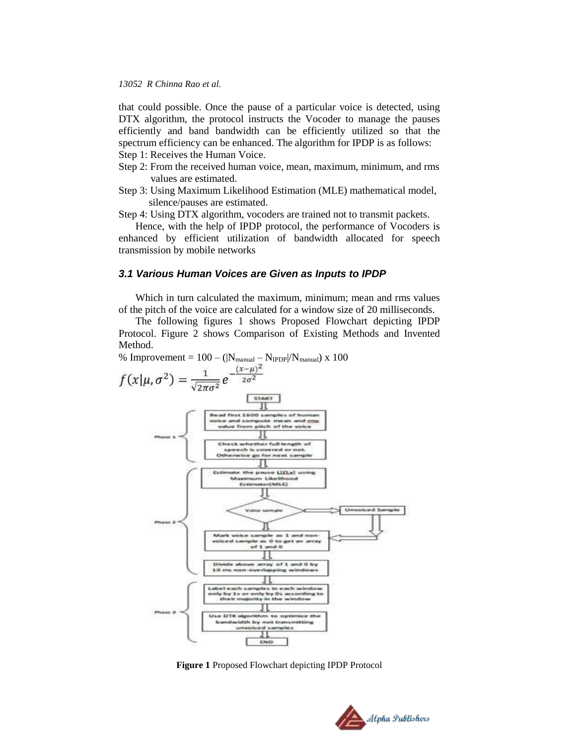that could possible. Once the pause of a particular voice is detected, using DTX algorithm, the protocol instructs the Vocoder to manage the pauses efficiently and band bandwidth can be efficiently utilized so that the spectrum efficiency can be enhanced. The algorithm for IPDP is as follows: Step 1: Receives the Human Voice.

- Step 2: From the received human voice, mean, maximum, minimum, and rms values are estimated.
- Step 3: Using Maximum Likelihood Estimation (MLE) mathematical model, silence/pauses are estimated.

Step 4: Using DTX algorithm, vocoders are trained not to transmit packets.

Hence, with the help of IPDP protocol, the performance of Vocoders is enhanced by efficient utilization of bandwidth allocated for speech transmission by mobile networks

#### *3.1 Various Human Voices are Given as Inputs to IPDP*

Which in turn calculated the maximum, minimum; mean and rms values of the pitch of the voice are calculated for a window size of 20 milliseconds.

The following figures 1 shows Proposed Flowchart depicting IPDP Protocol. Figure 2 shows Comparison of Existing Methods and Invented Method.



**Figure 1** Proposed Flowchart depicting IPDP Protocol

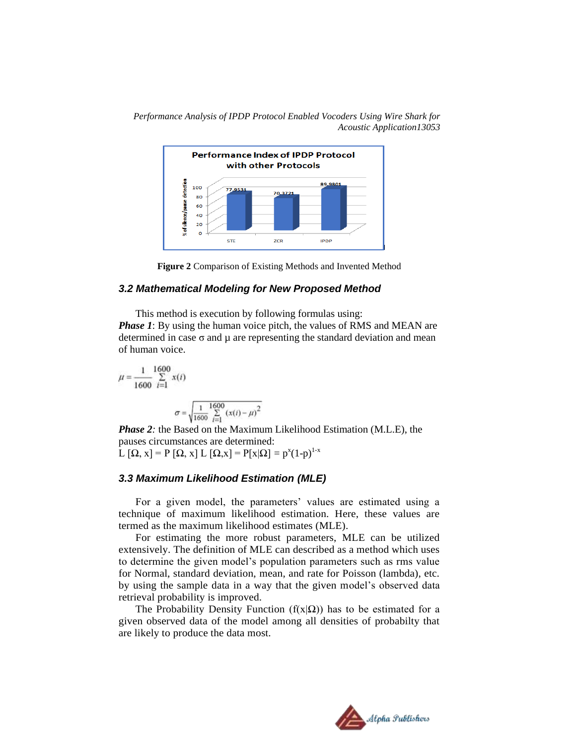



#### *3.2 Mathematical Modeling for New Proposed Method*

This method is execution by following formulas using: *Phase 1*: By using the human voice pitch, the values of RMS and MEAN are determined in case  $\sigma$  and  $\mu$  are representing the standard deviation and mean of human voice.

$$
\mu = \frac{1}{1600} \sum_{i=1}^{1600} x(i)
$$

$$
\sigma = \sqrt{\frac{1}{1600} \sum_{i=1}^{1600} (x(i) - \mu)^2}
$$

*Phase 2:* the Based on the Maximum Likelihood Estimation (M.L.E), the pauses circumstances are determined:  $\mathcal{L}[\Omega, x] = P[\Omega, x] \mathcal{L}[\Omega, x] = P[x|\Omega] = p^x(1-p)^{1-x}$ 

#### *3.3 Maximum Likelihood Estimation (MLE)*

For a given model, the parameters' values are estimated using a technique of maximum likelihood estimation. Here, these values are termed as the maximum likelihood estimates (MLE).

For estimating the more robust parameters, MLE can be utilized extensively. The definition of MLE can described as a method which uses to determine the given model's population parameters such as rms value for Normal, standard deviation, mean, and rate for Poisson (lambda), etc. by using the sample data in a way that the given model's observed data retrieval probability is improved.

The Probability Density Function ( $f(x|\Omega)$ ) has to be estimated for a given observed data of the model among all densities of probabilty that are likely to produce the data most.

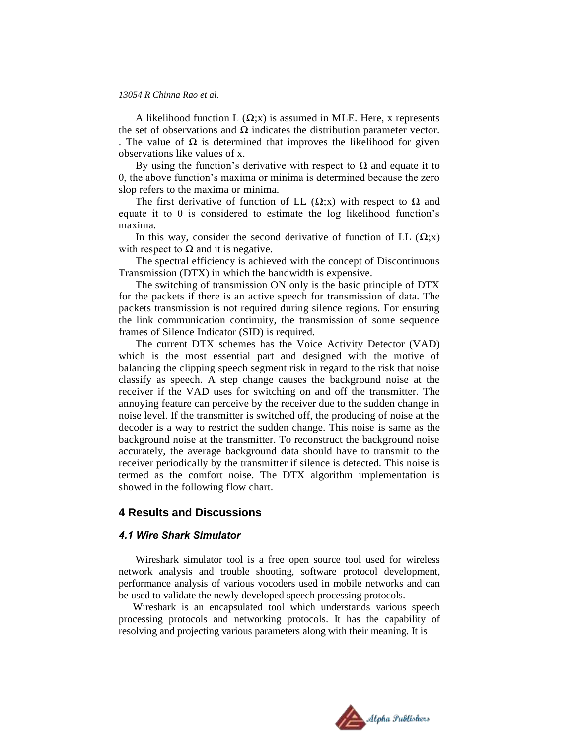A likelihood function  $L(\Omega; x)$  is assumed in MLE. Here, x represents the set of observations and  $\Omega$  indicates the distribution parameter vector. . The value of  $\Omega$  is determined that improves the likelihood for given observations like values of x.

By using the function's derivative with respect to  $\Omega$  and equate it to 0, the above function's maxima or minima is determined because the zero slop refers to the maxima or minima.

The first derivative of function of LL  $(\Omega; x)$  with respect to  $\Omega$  and equate it to 0 is considered to estimate the log likelihood function's maxima.

In this way, consider the second derivative of function of LL  $(\Omega; x)$ with respect to  $\Omega$  and it is negative.

The spectral efficiency is achieved with the concept of Discontinuous Transmission (DTX) in which the bandwidth is expensive.

The switching of transmission ON only is the basic principle of DTX for the packets if there is an active speech for transmission of data. The packets transmission is not required during silence regions. For ensuring the link communication continuity, the transmission of some sequence frames of Silence Indicator (SID) is required.

The current DTX schemes has the Voice Activity Detector (VAD) which is the most essential part and designed with the motive of balancing the clipping speech segment risk in regard to the risk that noise classify as speech. A step change causes the background noise at the receiver if the VAD uses for switching on and off the transmitter. The annoying feature can perceive by the receiver due to the sudden change in noise level. If the transmitter is switched off, the producing of noise at the decoder is a way to restrict the sudden change. This noise is same as the background noise at the transmitter. To reconstruct the background noise accurately, the average background data should have to transmit to the receiver periodically by the transmitter if silence is detected. This noise is termed as the comfort noise. The DTX algorithm implementation is showed in the following flow chart.

#### **4 Results and Discussions**

#### *4.1 Wire Shark Simulator*

Wireshark simulator tool is a free open source tool used for wireless network analysis and trouble shooting, software protocol development, performance analysis of various vocoders used in mobile networks and can be used to validate the newly developed speech processing protocols.

Wireshark is an encapsulated tool which understands various speech processing protocols and networking protocols. It has the capability of resolving and projecting various parameters along with their meaning. It is

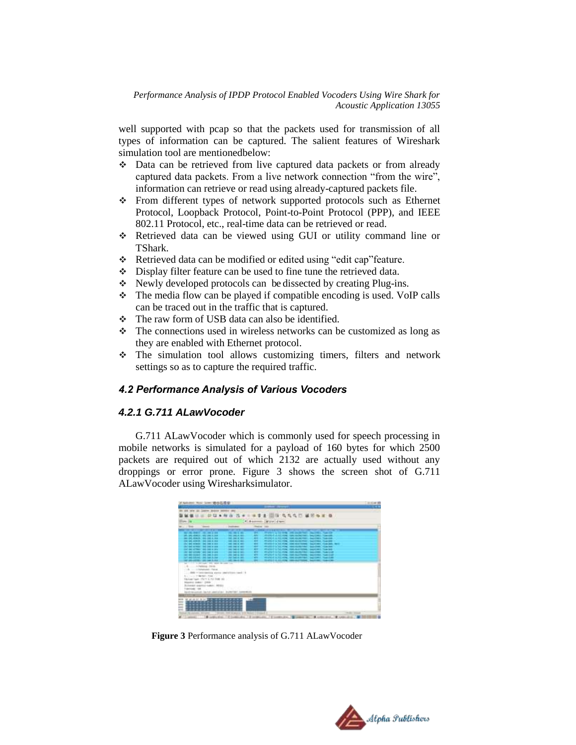well supported with pcap so that the packets used for transmission of all types of information can be captured. The salient features of Wireshark simulation tool are mentionedbelow:

- Data can be retrieved from live captured data packets or from already captured data packets. From a live network connection "from the wire", information can retrieve or read using already-captured packets file.
- From different types of network supported protocols such as Ethernet Protocol, Loopback Protocol, Point-to-Point Protocol (PPP), and IEEE 802.11 Protocol, etc., real-time data can be retrieved or read.
- Retrieved data can be viewed using GUI or utility command line or TShark.
- Retrieved data can be modified or edited using "edit cap"feature.
- Display filter feature can be used to fine tune the retrieved data.
- Newly developed protocols can be dissected by creating Plug-ins.
- $\cdot \cdot$  The media flow can be played if compatible encoding is used. VoIP calls can be traced out in the traffic that is captured.
- $\div$  The raw form of USB data can also be identified.
- $\cdot \cdot$  The connections used in wireless networks can be customized as long as they are enabled with Ethernet protocol.
- The simulation tool allows customizing timers, filters and network settings so as to capture the required traffic.

## *4.2 Performance Analysis of Various Vocoders*

#### *4.2.1 G.711 ALawVocoder*

G.711 ALawVocoder which is commonly used for speech processing in mobile networks is simulated for a payload of 160 bytes for which 2500 packets are required out of which 2132 are actually used without any droppings or error prone. Figure 3 shows the screen shot of G.711 ALawVocoder using Wiresharksimulator.

| <b>The Control</b><br>We can change to the track of the<br>SALSACHUM HOLINEZIA<br>last last strack, rack last a lot- | <b>CONTRACT</b><br><b>STORY OF BUILDING</b><br><b>CALL PRO EL MIN</b>                                                                                                                                                                                                                                               | <b>Home car</b><br><b>COLOR</b>                                                                                                                                                                                                                                                                  | 4 Assessed Draw days<br><b>The property of the Contract Contract</b><br><b><i><u>BERGHAM IN 1999</u></i></b> |                                                                                                                                                                                                                              |
|----------------------------------------------------------------------------------------------------------------------|---------------------------------------------------------------------------------------------------------------------------------------------------------------------------------------------------------------------------------------------------------------------------------------------------------------------|--------------------------------------------------------------------------------------------------------------------------------------------------------------------------------------------------------------------------------------------------------------------------------------------------|--------------------------------------------------------------------------------------------------------------|------------------------------------------------------------------------------------------------------------------------------------------------------------------------------------------------------------------------------|
|                                                                                                                      |                                                                                                                                                                                                                                                                                                                     |                                                                                                                                                                                                                                                                                                  |                                                                                                              |                                                                                                                                                                                                                              |
|                                                                                                                      |                                                                                                                                                                                                                                                                                                                     |                                                                                                                                                                                                                                                                                                  |                                                                                                              |                                                                                                                                                                                                                              |
|                                                                                                                      |                                                                                                                                                                                                                                                                                                                     |                                                                                                                                                                                                                                                                                                  |                                                                                                              |                                                                                                                                                                                                                              |
|                                                                                                                      |                                                                                                                                                                                                                                                                                                                     |                                                                                                                                                                                                                                                                                                  | FRAME A TO FEB. AND AN ARRANGED<br><b>Charles Committee</b>                                                  |                                                                                                                                                                                                                              |
|                                                                                                                      | <b>NO PACK BOX</b>                                                                                                                                                                                                                                                                                                  | m                                                                                                                                                                                                                                                                                                | 2012/01/23 02:00:00                                                                                          |                                                                                                                                                                                                                              |
|                                                                                                                      | <b><i>DEL DEL E MIL</i></b>                                                                                                                                                                                                                                                                                         |                                                                                                                                                                                                                                                                                                  | <b>MORTELLE AL BOL BOX</b>                                                                                   |                                                                                                                                                                                                                              |
| <b>CREWE ARRAIGNMENT COMPANY RESIDENCE</b>                                                                           | <b>SALE AND AT MAIL</b>                                                                                                                                                                                                                                                                                             | <br>                                                                                                                                                                                                                                                                                             | <b>PEGINAL STATE PARK</b>                                                                                    |                                                                                                                                                                                                                              |
| che una nombre del caso è cas                                                                                        | <b>CARL AND AT ANY</b>                                                                                                                                                                                                                                                                                              |                                                                                                                                                                                                                                                                                                  | <b>William Print, Law Print</b>                                                                              |                                                                                                                                                                                                                              |
|                                                                                                                      |                                                                                                                                                                                                                                                                                                                     |                                                                                                                                                                                                                                                                                                  |                                                                                                              |                                                                                                                                                                                                                              |
|                                                                                                                      |                                                                                                                                                                                                                                                                                                                     |                                                                                                                                                                                                                                                                                                  |                                                                                                              |                                                                                                                                                                                                                              |
|                                                                                                                      |                                                                                                                                                                                                                                                                                                                     |                                                                                                                                                                                                                                                                                                  |                                                                                                              |                                                                                                                                                                                                                              |
|                                                                                                                      |                                                                                                                                                                                                                                                                                                                     |                                                                                                                                                                                                                                                                                                  |                                                                                                              |                                                                                                                                                                                                                              |
|                                                                                                                      |                                                                                                                                                                                                                                                                                                                     |                                                                                                                                                                                                                                                                                                  |                                                                                                              |                                                                                                                                                                                                                              |
|                                                                                                                      |                                                                                                                                                                                                                                                                                                                     |                                                                                                                                                                                                                                                                                                  |                                                                                                              |                                                                                                                                                                                                                              |
|                                                                                                                      |                                                                                                                                                                                                                                                                                                                     |                                                                                                                                                                                                                                                                                                  |                                                                                                              |                                                                                                                                                                                                                              |
|                                                                                                                      |                                                                                                                                                                                                                                                                                                                     |                                                                                                                                                                                                                                                                                                  |                                                                                                              |                                                                                                                                                                                                                              |
|                                                                                                                      |                                                                                                                                                                                                                                                                                                                     |                                                                                                                                                                                                                                                                                                  |                                                                                                              |                                                                                                                                                                                                                              |
|                                                                                                                      |                                                                                                                                                                                                                                                                                                                     |                                                                                                                                                                                                                                                                                                  |                                                                                                              |                                                                                                                                                                                                                              |
|                                                                                                                      |                                                                                                                                                                                                                                                                                                                     |                                                                                                                                                                                                                                                                                                  |                                                                                                              |                                                                                                                                                                                                                              |
|                                                                                                                      |                                                                                                                                                                                                                                                                                                                     |                                                                                                                                                                                                                                                                                                  |                                                                                                              |                                                                                                                                                                                                                              |
| <b>Mazdal links: UNK</b>                                                                                             |                                                                                                                                                                                                                                                                                                                     |                                                                                                                                                                                                                                                                                                  |                                                                                                              |                                                                                                                                                                                                                              |
|                                                                                                                      |                                                                                                                                                                                                                                                                                                                     |                                                                                                                                                                                                                                                                                                  |                                                                                                              |                                                                                                                                                                                                                              |
| <b>TANGUAR 1991</b>                                                                                                  |                                                                                                                                                                                                                                                                                                                     |                                                                                                                                                                                                                                                                                                  |                                                                                                              |                                                                                                                                                                                                                              |
|                                                                                                                      | back-teachers lanks userance, lookerish comment                                                                                                                                                                                                                                                                     |                                                                                                                                                                                                                                                                                                  |                                                                                                              |                                                                                                                                                                                                                              |
|                                                                                                                      |                                                                                                                                                                                                                                                                                                                     |                                                                                                                                                                                                                                                                                                  |                                                                                                              |                                                                                                                                                                                                                              |
|                                                                                                                      |                                                                                                                                                                                                                                                                                                                     |                                                                                                                                                                                                                                                                                                  |                                                                                                              |                                                                                                                                                                                                                              |
|                                                                                                                      | che and permanent limit limit in con-<br>car as of the "aid bat a six-<br>DOC BACKGRAND CARD THAT YOUR<br>141 98 10381 (#4) 340 3-241<br>147 METRONE, OR 144 E.144<br>THE CAR CORRECT WAS LAND TO<br>- Administrator<br>C.A.  Editational Change<br>A.L. Lacia, FridayMark, Palac<br>Statement expertise makers 140 | <b>CALCULATION</b><br><b>SATINER STATE</b><br><b>HOMES</b><br>2012 040 S. TALL<br><b><i><u>SECRET METAL</u></i></b><br><b><i>DECISION AND REST</i></b><br>Mr. 11 11 12 13 14 15 16 16 17 18 19 19 19 19<br>AND - Determining anyone passwith through 1 is<br>Victoria Texto, 7527 E.T.O. FOR 180 | <br><b>MF</b><br>w.<br>w.<br>w                                                                               | we will all to have your<br>Walkert in Links<br><b><i><u>CONTRACTORY</u></i></b><br><b>Wallerton Forest</b><br><b>BECTIVALENT</b><br>water a to re-<br><b>Sand Home &amp; Household</b><br>we which it is this wing.<br>____ |

**Figure 3** Performance analysis of G.711 ALawVocoder

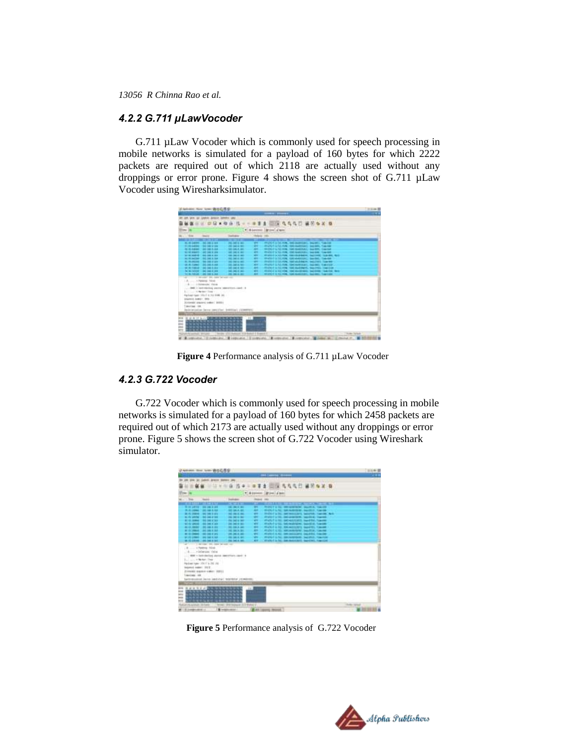#### *4.2.2 G.711 µLawVocoder*

G.711 µLaw Vocoder which is commonly used for speech processing in mobile networks is simulated for a payload of 160 bytes for which 2222 packets are required out of which 2118 are actually used without any droppings or error prone. Figure 4 shows the screen shot of G.711 µLaw Vocoder using Wiresharksimulator.

| <b>LEFTLING</b><br><b>EXCLUSIVE</b><br>* 4 premie Milevial Ave<br>Adams, John<br>Sep.<br><b>Textbank</b><br><b>Stagens</b><br><b>PEC DATA BEL</b><br>w.<br>31. 54 (483) - 34 (48.) (41<br><b>PUSE 215 FR. SEAM40EL</b><br>11.00 million 10.0 (40.214)<br><b>WE DANK WE</b><br>Wallet arts we<br>ARCHIVE & TO THE THE SHEERED - GAL<br>m.<br>501-04-A.M.<br><b>NO DO RUBBER 1999 SALES R. FOR</b><br>$-$<br>FEVERIFY \$700, FORD 1000 NAMED \$200.<br>ALC: UNL 3: 104<br><b>ME BEK BE</b><br><b>AD OF AGAIN</b><br>Watch a 121 Feb. Inscription of<br>an determined 1, was not a car.<br><b>THE DIE IS NOT</b><br><b><i><u>SALIDARE CORPORATION</u></i></b><br>$-$<br>ALCOHOL: 302 144 1.144<br><b>FEATURE 2010 FOR STATISTICS</b><br><b>REMARK</b><br>٠<br>AL MUNICIPAL TRAINING STAFF<br><b><i>CALL PARTIES WITH</i></b><br>Wellack & Spywer<br>THE R. P. LEWIS CO., LANSING MICH.<br><b>M.M. CAME: 2012013-001</b><br>101.04.A.M.<br>m.<br>WARLT & NUMBER CONTRACTS AND RESIDENCE.<br>m<br>will be founded to be look to buy<br><b>SECURE AT NEW</b><br>FRANCY IS THE FIRE THE ALCOHOL, MALTINE, THAT EX-<br>by an index - and has a rest<br>Welch a birth the communication besides than the fact<br><b>MARK MARK</b><br><br>ATATOLOGICAL PART CONTINUES IN CARD COMPANY<br>THE R. P. LEWIS CO., LANSING, MICH. 49-14039-1-120-2<br><b>CALL DOG ALL AND</b><br>m.<br>$\sim$<br>18<br>- A - - - 1 Extensible, Flatak<br>Gell + last history were second-count - in<br>Links of News Year 11<br>Equipped Castle 1 Excel at 250 1000 .00-<br>ERATORIA AVANELLI ISRG -<br>Scriptori cracero color: \$9.00 (<br>10-c'ha - 100<br>Secretarian Serva penalteri BASSING (CONFERS)<br>The Company of the Company of the<br><b>NAMES OF TAXABLE PARTIES</b><br>$10^{-1}$ |  |  | <b>STATISTICS</b> |  |
|-------------------------------------------------------------------------------------------------------------------------------------------------------------------------------------------------------------------------------------------------------------------------------------------------------------------------------------------------------------------------------------------------------------------------------------------------------------------------------------------------------------------------------------------------------------------------------------------------------------------------------------------------------------------------------------------------------------------------------------------------------------------------------------------------------------------------------------------------------------------------------------------------------------------------------------------------------------------------------------------------------------------------------------------------------------------------------------------------------------------------------------------------------------------------------------------------------------------------------------------------------------------------------------------------------------------------------------------------------------------------------------------------------------------------------------------------------------------------------------------------------------------------------------------------------------------------------------------------------------------------------------------------------------------------------------------------------------------------------------------------------------------|--|--|-------------------|--|
|                                                                                                                                                                                                                                                                                                                                                                                                                                                                                                                                                                                                                                                                                                                                                                                                                                                                                                                                                                                                                                                                                                                                                                                                                                                                                                                                                                                                                                                                                                                                                                                                                                                                                                                                                                   |  |  |                   |  |
|                                                                                                                                                                                                                                                                                                                                                                                                                                                                                                                                                                                                                                                                                                                                                                                                                                                                                                                                                                                                                                                                                                                                                                                                                                                                                                                                                                                                                                                                                                                                                                                                                                                                                                                                                                   |  |  |                   |  |
|                                                                                                                                                                                                                                                                                                                                                                                                                                                                                                                                                                                                                                                                                                                                                                                                                                                                                                                                                                                                                                                                                                                                                                                                                                                                                                                                                                                                                                                                                                                                                                                                                                                                                                                                                                   |  |  |                   |  |
|                                                                                                                                                                                                                                                                                                                                                                                                                                                                                                                                                                                                                                                                                                                                                                                                                                                                                                                                                                                                                                                                                                                                                                                                                                                                                                                                                                                                                                                                                                                                                                                                                                                                                                                                                                   |  |  |                   |  |
|                                                                                                                                                                                                                                                                                                                                                                                                                                                                                                                                                                                                                                                                                                                                                                                                                                                                                                                                                                                                                                                                                                                                                                                                                                                                                                                                                                                                                                                                                                                                                                                                                                                                                                                                                                   |  |  |                   |  |
|                                                                                                                                                                                                                                                                                                                                                                                                                                                                                                                                                                                                                                                                                                                                                                                                                                                                                                                                                                                                                                                                                                                                                                                                                                                                                                                                                                                                                                                                                                                                                                                                                                                                                                                                                                   |  |  |                   |  |
|                                                                                                                                                                                                                                                                                                                                                                                                                                                                                                                                                                                                                                                                                                                                                                                                                                                                                                                                                                                                                                                                                                                                                                                                                                                                                                                                                                                                                                                                                                                                                                                                                                                                                                                                                                   |  |  |                   |  |
|                                                                                                                                                                                                                                                                                                                                                                                                                                                                                                                                                                                                                                                                                                                                                                                                                                                                                                                                                                                                                                                                                                                                                                                                                                                                                                                                                                                                                                                                                                                                                                                                                                                                                                                                                                   |  |  |                   |  |
|                                                                                                                                                                                                                                                                                                                                                                                                                                                                                                                                                                                                                                                                                                                                                                                                                                                                                                                                                                                                                                                                                                                                                                                                                                                                                                                                                                                                                                                                                                                                                                                                                                                                                                                                                                   |  |  |                   |  |
|                                                                                                                                                                                                                                                                                                                                                                                                                                                                                                                                                                                                                                                                                                                                                                                                                                                                                                                                                                                                                                                                                                                                                                                                                                                                                                                                                                                                                                                                                                                                                                                                                                                                                                                                                                   |  |  |                   |  |
|                                                                                                                                                                                                                                                                                                                                                                                                                                                                                                                                                                                                                                                                                                                                                                                                                                                                                                                                                                                                                                                                                                                                                                                                                                                                                                                                                                                                                                                                                                                                                                                                                                                                                                                                                                   |  |  |                   |  |
|                                                                                                                                                                                                                                                                                                                                                                                                                                                                                                                                                                                                                                                                                                                                                                                                                                                                                                                                                                                                                                                                                                                                                                                                                                                                                                                                                                                                                                                                                                                                                                                                                                                                                                                                                                   |  |  |                   |  |
|                                                                                                                                                                                                                                                                                                                                                                                                                                                                                                                                                                                                                                                                                                                                                                                                                                                                                                                                                                                                                                                                                                                                                                                                                                                                                                                                                                                                                                                                                                                                                                                                                                                                                                                                                                   |  |  |                   |  |
|                                                                                                                                                                                                                                                                                                                                                                                                                                                                                                                                                                                                                                                                                                                                                                                                                                                                                                                                                                                                                                                                                                                                                                                                                                                                                                                                                                                                                                                                                                                                                                                                                                                                                                                                                                   |  |  |                   |  |
|                                                                                                                                                                                                                                                                                                                                                                                                                                                                                                                                                                                                                                                                                                                                                                                                                                                                                                                                                                                                                                                                                                                                                                                                                                                                                                                                                                                                                                                                                                                                                                                                                                                                                                                                                                   |  |  |                   |  |
|                                                                                                                                                                                                                                                                                                                                                                                                                                                                                                                                                                                                                                                                                                                                                                                                                                                                                                                                                                                                                                                                                                                                                                                                                                                                                                                                                                                                                                                                                                                                                                                                                                                                                                                                                                   |  |  |                   |  |
|                                                                                                                                                                                                                                                                                                                                                                                                                                                                                                                                                                                                                                                                                                                                                                                                                                                                                                                                                                                                                                                                                                                                                                                                                                                                                                                                                                                                                                                                                                                                                                                                                                                                                                                                                                   |  |  |                   |  |
|                                                                                                                                                                                                                                                                                                                                                                                                                                                                                                                                                                                                                                                                                                                                                                                                                                                                                                                                                                                                                                                                                                                                                                                                                                                                                                                                                                                                                                                                                                                                                                                                                                                                                                                                                                   |  |  |                   |  |
|                                                                                                                                                                                                                                                                                                                                                                                                                                                                                                                                                                                                                                                                                                                                                                                                                                                                                                                                                                                                                                                                                                                                                                                                                                                                                                                                                                                                                                                                                                                                                                                                                                                                                                                                                                   |  |  |                   |  |
|                                                                                                                                                                                                                                                                                                                                                                                                                                                                                                                                                                                                                                                                                                                                                                                                                                                                                                                                                                                                                                                                                                                                                                                                                                                                                                                                                                                                                                                                                                                                                                                                                                                                                                                                                                   |  |  |                   |  |
|                                                                                                                                                                                                                                                                                                                                                                                                                                                                                                                                                                                                                                                                                                                                                                                                                                                                                                                                                                                                                                                                                                                                                                                                                                                                                                                                                                                                                                                                                                                                                                                                                                                                                                                                                                   |  |  |                   |  |
|                                                                                                                                                                                                                                                                                                                                                                                                                                                                                                                                                                                                                                                                                                                                                                                                                                                                                                                                                                                                                                                                                                                                                                                                                                                                                                                                                                                                                                                                                                                                                                                                                                                                                                                                                                   |  |  |                   |  |
|                                                                                                                                                                                                                                                                                                                                                                                                                                                                                                                                                                                                                                                                                                                                                                                                                                                                                                                                                                                                                                                                                                                                                                                                                                                                                                                                                                                                                                                                                                                                                                                                                                                                                                                                                                   |  |  |                   |  |
|                                                                                                                                                                                                                                                                                                                                                                                                                                                                                                                                                                                                                                                                                                                                                                                                                                                                                                                                                                                                                                                                                                                                                                                                                                                                                                                                                                                                                                                                                                                                                                                                                                                                                                                                                                   |  |  |                   |  |
|                                                                                                                                                                                                                                                                                                                                                                                                                                                                                                                                                                                                                                                                                                                                                                                                                                                                                                                                                                                                                                                                                                                                                                                                                                                                                                                                                                                                                                                                                                                                                                                                                                                                                                                                                                   |  |  |                   |  |
|                                                                                                                                                                                                                                                                                                                                                                                                                                                                                                                                                                                                                                                                                                                                                                                                                                                                                                                                                                                                                                                                                                                                                                                                                                                                                                                                                                                                                                                                                                                                                                                                                                                                                                                                                                   |  |  |                   |  |
|                                                                                                                                                                                                                                                                                                                                                                                                                                                                                                                                                                                                                                                                                                                                                                                                                                                                                                                                                                                                                                                                                                                                                                                                                                                                                                                                                                                                                                                                                                                                                                                                                                                                                                                                                                   |  |  |                   |  |
|                                                                                                                                                                                                                                                                                                                                                                                                                                                                                                                                                                                                                                                                                                                                                                                                                                                                                                                                                                                                                                                                                                                                                                                                                                                                                                                                                                                                                                                                                                                                                                                                                                                                                                                                                                   |  |  |                   |  |
|                                                                                                                                                                                                                                                                                                                                                                                                                                                                                                                                                                                                                                                                                                                                                                                                                                                                                                                                                                                                                                                                                                                                                                                                                                                                                                                                                                                                                                                                                                                                                                                                                                                                                                                                                                   |  |  |                   |  |
| 法备款分析的现在分词的分析分析<br><br>. <u>. .</u> .<br><b>ARM 900</b>                                                                                                                                                                                                                                                                                                                                                                                                                                                                                                                                                                                                                                                                                                                                                                                                                                                                                                                                                                                                                                                                                                                                                                                                                                                                                                                                                                                                                                                                                                                                                                                                                                                                                                           |  |  |                   |  |

 **Figure 4** Performance analysis of G.711 µLaw Vocoder

## *4.2.3 G.722 Vocoder*

G.722 Vocoder which is commonly used for speech processing in mobile networks is simulated for a payload of 160 bytes for which 2458 packets are required out of which 2173 are actually used without any droppings or error prone. Figure 5 shows the screen shot of G.722 Vocoder using Wireshark simulator.

|                                    | witness lines larm-WAGDE                                  |                                                                |                        |                                                                                                       | 三川中国       |
|------------------------------------|-----------------------------------------------------------|----------------------------------------------------------------|------------------------|-------------------------------------------------------------------------------------------------------|------------|
|                                    |                                                           |                                                                |                        | <b>MA Castron Monday</b>                                                                              | m          |
|                                    |                                                           |                                                                |                        |                                                                                                       |            |
|                                    |                                                           |                                                                |                        | 田塚 ちちちだ 補防など 春                                                                                        |            |
|                                    |                                                           |                                                                |                        | - 4 (power) [Plint] & anti                                                                            |            |
|                                    |                                                           |                                                                |                        |                                                                                                       |            |
| Total .                            | <b>Service</b>                                            | <b>Touch Ave</b>                                               | <b>Parties College</b> |                                                                                                       |            |
|                                    | <b>STERFTWOOD PRINTS</b>                                  | <b>START STAR</b>                                              | <b>COM</b>             | <b>CONTRACTOR</b> CONTRACTOR                                                                          |            |
|                                    | TO US LIFTED 1 000 246 3 (19)                             | <b>DEMONSTRATION</b>                                           | $\overline{a}$         | <b>ROSET &amp; ISL INFIGURERIES, GALDER, TANISTI</b>                                                  |            |
|                                    | ALC: UNK 1-30 144 5 161                                   | <b>RESEARC</b>                                                 | -                      | AS GROUP IS THE TIME IN ANOTHER COMMITTEE TO A REPORT                                                 |            |
|                                    | at its trainer. This can brain                            | <b><i>INTERNATIONAL</i></b>                                    | $\frac{1}{2}$          | <b>HARLYARI, MARGARETA MORRA, TANGA, NY</b>                                                           |            |
|                                    | as its premier critical and artist                        | <b>IN THE R. P.</b>                                            |                        | Welling to the membership of the control of the con-<br>Well-Falls, INVestibility, Inself Ed. Tax-red |            |
|                                    | at a new thinking the<br><b>WE'RE WRITE: HE SHEET SEE</b> | <b>CALCULATION</b><br><b>CALCULATION</b>                       | <b>WE</b><br>w.        | matched the background machine funds.                                                                 |            |
|                                    | <b>BE ON MAIN : 000 282 P 101</b>                         | <b>2010 FAX ALLINES</b>                                        | <b>WELL</b>            | FEATURE & DEP. FOR JACOBS RES. CALLINGTON, TUBELON                                                    |            |
|                                    | All the statute 1 and 1 am it took                        | 202 324 31 Str.                                                |                        | PERSONAL MEMBERS INCOME VALUE                                                                         |            |
|                                    | <b>BE OF DIRECT THE 200 F.M.</b>                          | (第2013) 2012                                                   | $\mathbf{m}$           | Walker A.M., tell-ledgically link-life, fracisc                                                       |            |
|                                    | with the company's company basis of high                  | <b>PRODUCTS</b>                                                | ÷                      | Walter & Rt., Microsoft and Capitals, Harrison                                                        |            |
|                                    | <b>M. 51-20-60 - AN 144-9-141</b>                         | <b>CALL AND ALLEN</b>                                          | <b>ME</b>              | Well-Fa-NC Incapacidat, Service, Inc.(2)                                                              |            |
|                                    |                                                           |                                                                |                        |                                                                                                       |            |
| . B.  + Yesting : Nindi            |                                                           |                                                                |                        |                                                                                                       |            |
|                                    |                                                           |                                                                |                        |                                                                                                       |            |
|                                    | +1dward Value                                             |                                                                |                        |                                                                                                       |            |
|                                    | WW - behideling about described card-                     |                                                                |                        |                                                                                                       |            |
| E. List + Netari Ther              |                                                           |                                                                |                        |                                                                                                       |            |
|                                    | Payment France: 1784 F. G. 2001 (70)                      |                                                                |                        |                                                                                                       |            |
| tagenei name: 1922.                |                                                           |                                                                |                        |                                                                                                       |            |
|                                    | EDMANDS ANALOG GARDY - FOR LL                             |                                                                |                        |                                                                                                       |            |
| Tea-Capp, 199                      |                                                           |                                                                |                        |                                                                                                       |            |
|                                    |                                                           |                                                                |                        |                                                                                                       |            |
|                                    |                                                           | betrokened beto and that marked (measured)                     |                        |                                                                                                       |            |
| -                                  |                                                           |                                                                | -                      |                                                                                                       |            |
| <b>BERREE 2008</b>                 |                                                           |                                                                | 181                    |                                                                                                       |            |
| the first data for the first day   |                                                           | <b><i><i><u><b>BY THE THE THE THE THE TWO </b></u></i></i></b> |                        |                                                                                                       |            |
|                                    | to as for its As As-                                      |                                                                |                        |                                                                                                       |            |
| m                                  | ------------                                              |                                                                |                        |                                                                                                       |            |
|                                    | ---                                                       |                                                                |                        |                                                                                                       |            |
| floor and the carebally startinger |                                                           | beings strategies and those a                                  |                        |                                                                                                       | them tered |
| 1 IS EVANSY LAKE US                |                                                           | <b>W</b> telephone of                                          |                        | <b>Bald Library Morris</b>                                                                            |            |

 **Figure 5** Performance analysis of G.722 Vocoder

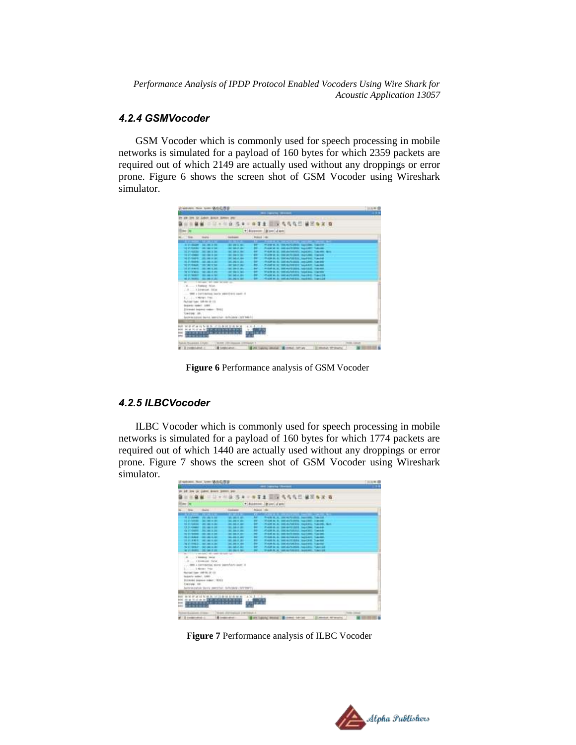#### *4.2.4 GSMVocoder*

GSM Vocoder which is commonly used for speech processing in mobile networks is simulated for a payload of 160 bytes for which 2359 packets are required out of which 2149 are actually used without any droppings or error prone. Figure 6 shows the screen shot of GSM Vocoder using Wireshark simulator.

| <b>The Country of Con-</b><br>St. Colors Januar 304031 2P6<br>二环 作中一样手术 国政 鸟鸟鸟兰 黃色布革 百<br>* Summer Mine June<br><b>ROOM 1981</b><br>tion.<br><b>SARAD</b><br><b>Includes:</b><br>œ<br><b>TALLET</b><br><u>The Company of the Second Person Property and Person Property and Person Property and Person Property and Person Property and Person Property and Person Property and Person Property and Person Property and Person Property</u><br><b>POLICE CONTRACTORY AND PROPERTY</b><br>\$1.01 Stager - Stat red & the<br>FOR 6.5. GENERAL MOSEL CALLS<br>180 000 S. 1911<br>3120 8480 746 746 874<br><b>WE SHEAT ONE</b><br><b>SHOW:</b><br>Average weather the collect funds<br><b>SCHOOL CREW</b><br>۰<br>ME 348-3-344<br>FIAM & E. DEALMAN, NHOL: TacAk<br><b>VEHICLE WANT : AND CAR IS ON!</b><br>FUEL & SCHOOL SECTION TWO<br><b>MC 148 9 191</b><br>FUJA B. S. DAYA/18/516, Sendant, Taechel<br>as an expert to the last at lat-<br><b>WE SHEAT HAS</b><br>٠<br>10.21-9484; 102.94.1.95<br>FOUR BLAC DRIVERS TO LOAN TUNING<br><b>MELOW 4-381</b><br>mited by an out-surveying payment. Support<br>$1600 -$<br><b>BESIDES</b><br>30 P. Street, 198 188 E.St<br>middle at the exceptions, said and makes<br>to an engine the last time<br>test beach cars<br>World at its behind the baseball, transport<br>TEST WINDS THE CAR EVER<br><b>CONTRACTOR</b><br><b>HER WHILE IN HER RE</b><br>Plane Mc by IntriductionEd, Septible, Tex-L24<br><b>WE DID A 201</b><br>FOUR R. S. HALAVEST, NUMBER 184-124<br>ALCOHOL: \$5,000 C.D.<br><b>JPC 296 9.341</b><br>to the forest tell that below to<br>E  I Fastern Falue<br>WH + Lottening back swelleri cast 4<br>1. News . Free<br>Fachinet Value 1986 66-181 153<br><b>SALIESE TORN'T LIMIT</b><br><b>District Ingred code: \$10.</b><br>Linking Jan. 1<br>best-benefiction theme, approvalent definition (1977) 644-7-1<br>ــ<br>4.4.4.1.00<br><b>WOODNIES COMMISSION</b><br><b>NN NN NN NN NN NN NN NN</b><br><b>CARD OR RESIDENCE</b><br><br><b><i><u>Property</u></i> Property</b><br>$\mathbf{r}$<br>Rushell TS advised Jurisdic-<br>NAME OF GROOM CONSUMER.<br><b>PARKLIN AND</b><br>130 conditionities of<br><b>B</b> tumpo anun | weivers man later W&Q进展 |  | 三日お野信 |
|-------------------------------------------------------------------------------------------------------------------------------------------------------------------------------------------------------------------------------------------------------------------------------------------------------------------------------------------------------------------------------------------------------------------------------------------------------------------------------------------------------------------------------------------------------------------------------------------------------------------------------------------------------------------------------------------------------------------------------------------------------------------------------------------------------------------------------------------------------------------------------------------------------------------------------------------------------------------------------------------------------------------------------------------------------------------------------------------------------------------------------------------------------------------------------------------------------------------------------------------------------------------------------------------------------------------------------------------------------------------------------------------------------------------------------------------------------------------------------------------------------------------------------------------------------------------------------------------------------------------------------------------------------------------------------------------------------------------------------------------------------------------------------------------------------------------------------------------------------------------------------------------------------------------------------------------------------------------------------------------------------------------------------------------------------------------------------------------------------------------------------------------------------------------------------------------|-------------------------|--|-------|
|                                                                                                                                                                                                                                                                                                                                                                                                                                                                                                                                                                                                                                                                                                                                                                                                                                                                                                                                                                                                                                                                                                                                                                                                                                                                                                                                                                                                                                                                                                                                                                                                                                                                                                                                                                                                                                                                                                                                                                                                                                                                                                                                                                                           |                         |  | . .   |
|                                                                                                                                                                                                                                                                                                                                                                                                                                                                                                                                                                                                                                                                                                                                                                                                                                                                                                                                                                                                                                                                                                                                                                                                                                                                                                                                                                                                                                                                                                                                                                                                                                                                                                                                                                                                                                                                                                                                                                                                                                                                                                                                                                                           |                         |  |       |
|                                                                                                                                                                                                                                                                                                                                                                                                                                                                                                                                                                                                                                                                                                                                                                                                                                                                                                                                                                                                                                                                                                                                                                                                                                                                                                                                                                                                                                                                                                                                                                                                                                                                                                                                                                                                                                                                                                                                                                                                                                                                                                                                                                                           |                         |  |       |
|                                                                                                                                                                                                                                                                                                                                                                                                                                                                                                                                                                                                                                                                                                                                                                                                                                                                                                                                                                                                                                                                                                                                                                                                                                                                                                                                                                                                                                                                                                                                                                                                                                                                                                                                                                                                                                                                                                                                                                                                                                                                                                                                                                                           |                         |  |       |
|                                                                                                                                                                                                                                                                                                                                                                                                                                                                                                                                                                                                                                                                                                                                                                                                                                                                                                                                                                                                                                                                                                                                                                                                                                                                                                                                                                                                                                                                                                                                                                                                                                                                                                                                                                                                                                                                                                                                                                                                                                                                                                                                                                                           |                         |  |       |
|                                                                                                                                                                                                                                                                                                                                                                                                                                                                                                                                                                                                                                                                                                                                                                                                                                                                                                                                                                                                                                                                                                                                                                                                                                                                                                                                                                                                                                                                                                                                                                                                                                                                                                                                                                                                                                                                                                                                                                                                                                                                                                                                                                                           |                         |  |       |
|                                                                                                                                                                                                                                                                                                                                                                                                                                                                                                                                                                                                                                                                                                                                                                                                                                                                                                                                                                                                                                                                                                                                                                                                                                                                                                                                                                                                                                                                                                                                                                                                                                                                                                                                                                                                                                                                                                                                                                                                                                                                                                                                                                                           |                         |  |       |
|                                                                                                                                                                                                                                                                                                                                                                                                                                                                                                                                                                                                                                                                                                                                                                                                                                                                                                                                                                                                                                                                                                                                                                                                                                                                                                                                                                                                                                                                                                                                                                                                                                                                                                                                                                                                                                                                                                                                                                                                                                                                                                                                                                                           |                         |  |       |
|                                                                                                                                                                                                                                                                                                                                                                                                                                                                                                                                                                                                                                                                                                                                                                                                                                                                                                                                                                                                                                                                                                                                                                                                                                                                                                                                                                                                                                                                                                                                                                                                                                                                                                                                                                                                                                                                                                                                                                                                                                                                                                                                                                                           |                         |  |       |
|                                                                                                                                                                                                                                                                                                                                                                                                                                                                                                                                                                                                                                                                                                                                                                                                                                                                                                                                                                                                                                                                                                                                                                                                                                                                                                                                                                                                                                                                                                                                                                                                                                                                                                                                                                                                                                                                                                                                                                                                                                                                                                                                                                                           |                         |  |       |
|                                                                                                                                                                                                                                                                                                                                                                                                                                                                                                                                                                                                                                                                                                                                                                                                                                                                                                                                                                                                                                                                                                                                                                                                                                                                                                                                                                                                                                                                                                                                                                                                                                                                                                                                                                                                                                                                                                                                                                                                                                                                                                                                                                                           |                         |  |       |
|                                                                                                                                                                                                                                                                                                                                                                                                                                                                                                                                                                                                                                                                                                                                                                                                                                                                                                                                                                                                                                                                                                                                                                                                                                                                                                                                                                                                                                                                                                                                                                                                                                                                                                                                                                                                                                                                                                                                                                                                                                                                                                                                                                                           |                         |  |       |
|                                                                                                                                                                                                                                                                                                                                                                                                                                                                                                                                                                                                                                                                                                                                                                                                                                                                                                                                                                                                                                                                                                                                                                                                                                                                                                                                                                                                                                                                                                                                                                                                                                                                                                                                                                                                                                                                                                                                                                                                                                                                                                                                                                                           |                         |  |       |
|                                                                                                                                                                                                                                                                                                                                                                                                                                                                                                                                                                                                                                                                                                                                                                                                                                                                                                                                                                                                                                                                                                                                                                                                                                                                                                                                                                                                                                                                                                                                                                                                                                                                                                                                                                                                                                                                                                                                                                                                                                                                                                                                                                                           |                         |  |       |
|                                                                                                                                                                                                                                                                                                                                                                                                                                                                                                                                                                                                                                                                                                                                                                                                                                                                                                                                                                                                                                                                                                                                                                                                                                                                                                                                                                                                                                                                                                                                                                                                                                                                                                                                                                                                                                                                                                                                                                                                                                                                                                                                                                                           |                         |  |       |
|                                                                                                                                                                                                                                                                                                                                                                                                                                                                                                                                                                                                                                                                                                                                                                                                                                                                                                                                                                                                                                                                                                                                                                                                                                                                                                                                                                                                                                                                                                                                                                                                                                                                                                                                                                                                                                                                                                                                                                                                                                                                                                                                                                                           |                         |  |       |
|                                                                                                                                                                                                                                                                                                                                                                                                                                                                                                                                                                                                                                                                                                                                                                                                                                                                                                                                                                                                                                                                                                                                                                                                                                                                                                                                                                                                                                                                                                                                                                                                                                                                                                                                                                                                                                                                                                                                                                                                                                                                                                                                                                                           |                         |  |       |
|                                                                                                                                                                                                                                                                                                                                                                                                                                                                                                                                                                                                                                                                                                                                                                                                                                                                                                                                                                                                                                                                                                                                                                                                                                                                                                                                                                                                                                                                                                                                                                                                                                                                                                                                                                                                                                                                                                                                                                                                                                                                                                                                                                                           |                         |  |       |
|                                                                                                                                                                                                                                                                                                                                                                                                                                                                                                                                                                                                                                                                                                                                                                                                                                                                                                                                                                                                                                                                                                                                                                                                                                                                                                                                                                                                                                                                                                                                                                                                                                                                                                                                                                                                                                                                                                                                                                                                                                                                                                                                                                                           |                         |  |       |
|                                                                                                                                                                                                                                                                                                                                                                                                                                                                                                                                                                                                                                                                                                                                                                                                                                                                                                                                                                                                                                                                                                                                                                                                                                                                                                                                                                                                                                                                                                                                                                                                                                                                                                                                                                                                                                                                                                                                                                                                                                                                                                                                                                                           |                         |  |       |
|                                                                                                                                                                                                                                                                                                                                                                                                                                                                                                                                                                                                                                                                                                                                                                                                                                                                                                                                                                                                                                                                                                                                                                                                                                                                                                                                                                                                                                                                                                                                                                                                                                                                                                                                                                                                                                                                                                                                                                                                                                                                                                                                                                                           |                         |  |       |
|                                                                                                                                                                                                                                                                                                                                                                                                                                                                                                                                                                                                                                                                                                                                                                                                                                                                                                                                                                                                                                                                                                                                                                                                                                                                                                                                                                                                                                                                                                                                                                                                                                                                                                                                                                                                                                                                                                                                                                                                                                                                                                                                                                                           |                         |  |       |
|                                                                                                                                                                                                                                                                                                                                                                                                                                                                                                                                                                                                                                                                                                                                                                                                                                                                                                                                                                                                                                                                                                                                                                                                                                                                                                                                                                                                                                                                                                                                                                                                                                                                                                                                                                                                                                                                                                                                                                                                                                                                                                                                                                                           |                         |  |       |
|                                                                                                                                                                                                                                                                                                                                                                                                                                                                                                                                                                                                                                                                                                                                                                                                                                                                                                                                                                                                                                                                                                                                                                                                                                                                                                                                                                                                                                                                                                                                                                                                                                                                                                                                                                                                                                                                                                                                                                                                                                                                                                                                                                                           |                         |  |       |
|                                                                                                                                                                                                                                                                                                                                                                                                                                                                                                                                                                                                                                                                                                                                                                                                                                                                                                                                                                                                                                                                                                                                                                                                                                                                                                                                                                                                                                                                                                                                                                                                                                                                                                                                                                                                                                                                                                                                                                                                                                                                                                                                                                                           |                         |  |       |
|                                                                                                                                                                                                                                                                                                                                                                                                                                                                                                                                                                                                                                                                                                                                                                                                                                                                                                                                                                                                                                                                                                                                                                                                                                                                                                                                                                                                                                                                                                                                                                                                                                                                                                                                                                                                                                                                                                                                                                                                                                                                                                                                                                                           |                         |  |       |
|                                                                                                                                                                                                                                                                                                                                                                                                                                                                                                                                                                                                                                                                                                                                                                                                                                                                                                                                                                                                                                                                                                                                                                                                                                                                                                                                                                                                                                                                                                                                                                                                                                                                                                                                                                                                                                                                                                                                                                                                                                                                                                                                                                                           |                         |  |       |
|                                                                                                                                                                                                                                                                                                                                                                                                                                                                                                                                                                                                                                                                                                                                                                                                                                                                                                                                                                                                                                                                                                                                                                                                                                                                                                                                                                                                                                                                                                                                                                                                                                                                                                                                                                                                                                                                                                                                                                                                                                                                                                                                                                                           |                         |  |       |
|                                                                                                                                                                                                                                                                                                                                                                                                                                                                                                                                                                                                                                                                                                                                                                                                                                                                                                                                                                                                                                                                                                                                                                                                                                                                                                                                                                                                                                                                                                                                                                                                                                                                                                                                                                                                                                                                                                                                                                                                                                                                                                                                                                                           |                         |  |       |
|                                                                                                                                                                                                                                                                                                                                                                                                                                                                                                                                                                                                                                                                                                                                                                                                                                                                                                                                                                                                                                                                                                                                                                                                                                                                                                                                                                                                                                                                                                                                                                                                                                                                                                                                                                                                                                                                                                                                                                                                                                                                                                                                                                                           |                         |  |       |
|                                                                                                                                                                                                                                                                                                                                                                                                                                                                                                                                                                                                                                                                                                                                                                                                                                                                                                                                                                                                                                                                                                                                                                                                                                                                                                                                                                                                                                                                                                                                                                                                                                                                                                                                                                                                                                                                                                                                                                                                                                                                                                                                                                                           |                         |  |       |
|                                                                                                                                                                                                                                                                                                                                                                                                                                                                                                                                                                                                                                                                                                                                                                                                                                                                                                                                                                                                                                                                                                                                                                                                                                                                                                                                                                                                                                                                                                                                                                                                                                                                                                                                                                                                                                                                                                                                                                                                                                                                                                                                                                                           |                         |  |       |
|                                                                                                                                                                                                                                                                                                                                                                                                                                                                                                                                                                                                                                                                                                                                                                                                                                                                                                                                                                                                                                                                                                                                                                                                                                                                                                                                                                                                                                                                                                                                                                                                                                                                                                                                                                                                                                                                                                                                                                                                                                                                                                                                                                                           |                         |  |       |
|                                                                                                                                                                                                                                                                                                                                                                                                                                                                                                                                                                                                                                                                                                                                                                                                                                                                                                                                                                                                                                                                                                                                                                                                                                                                                                                                                                                                                                                                                                                                                                                                                                                                                                                                                                                                                                                                                                                                                                                                                                                                                                                                                                                           |                         |  |       |
|                                                                                                                                                                                                                                                                                                                                                                                                                                                                                                                                                                                                                                                                                                                                                                                                                                                                                                                                                                                                                                                                                                                                                                                                                                                                                                                                                                                                                                                                                                                                                                                                                                                                                                                                                                                                                                                                                                                                                                                                                                                                                                                                                                                           |                         |  |       |
|                                                                                                                                                                                                                                                                                                                                                                                                                                                                                                                                                                                                                                                                                                                                                                                                                                                                                                                                                                                                                                                                                                                                                                                                                                                                                                                                                                                                                                                                                                                                                                                                                                                                                                                                                                                                                                                                                                                                                                                                                                                                                                                                                                                           |                         |  |       |

 **Figure 6** Performance analysis of GSM Vocoder

#### *4.2.5 ILBCVocoder*

ILBC Vocoder which is commonly used for speech processing in mobile networks is simulated for a payload of 160 bytes for which 1774 packets are required out of which 1440 are actually used without any droppings or error prone. Figure 7 shows the screen shot of GSM Vocoder using Wireshark simulator.

| and baseballase<br>14 Int or just learn power on<br>二日十二日 百米十年千里 国际 气气气口 催苦血法 在<br>* Address   Mine   Vant<br><b>Golden</b><br>Arange, May<br><b>Share College</b><br><b>Sing</b><br>m<br>the company of the company of the local<br><b>TANK AND STATE OF STATE OF A</b><br>.<br>m<br><b>EL 27 MARCH 1992 SAL 9:300</b><br>第3章 第1<br><b>Building &amp; A. Com Al-Profit &amp; Secretts</b><br>3121-9980 - Sat line avail<br>m<br><b>SALE SAN IN THE</b><br>FOOR N. R. WELANDING, NAVARE THERE<br>FOR R. P. GELAZIETA, NORDI, TAKIN, G.C.<br><b>RESTAURING TO DE THE RIGHT</b><br>2012/06/31 04:5<br>۰<br>٠<br>Fuld & A. Salary Mill Said M. Tarde<br>13.31.000007-0003003-000<br>THE <b>FALL 1.241</b><br>12 STORAGE 1996 SALE ST<br>۰<br>KINN & A. BROKINSON, Inputed, Carrier<br>THE 248 F 240<br>TV 27 YARNE - DO 200 E 200<br>001063-002<br>FOR K.S. BEATONS, MORE TAXES<br>WINNIPED SECOND RESERVE TO A REPORT<br><b>MAILBANK DALIALKAN</b><br><b>MALL DANK OF CARD</b><br>$\sim$<br>FAMILY MONTHERN SHORT THERE<br>100,000,000<br>1880<br><b>WARRANT DRIAL-VALUE SAVING VALUE</b><br>TV 17-940-3 Tel: 14-5 Sec 17-94<br><b>Inc. 946 8 384</b><br>PLAN & S. SELAPURE TALLAS TALLA<br><b>GELDWARD</b><br>Williams P. Striker, N.<br>FARACE IN THE AUTOMOTIC SHARES, TUNITER<br>ALC: UNK 0, 291<br><b>WITH ROBERT COMPANY</b><br>the control of the state of the water six basic and<br>A  7 Hennis 244 at<br>-B  I Evening Pullet<br>men a correspond show been have asset a<br>2. 4 NESER POST<br>Factual ligar 198-36-32 (3)<br>Makelyk sellect: ANK-<br><b>Primoted bigotive maker: 19323</b><br><b>Teknology</b> 658<br>betraction were period. Schools cerewry<br>ALC: UNK<br>and the see the 1977 and also that date and see<br><b>TAILER SERVICES</b><br><b>CALL THERE</b><br>$-0.0000$<br>- In an introduce the read it<br>and against France<br><b>And Collabo</b><br>12 International Co.<br><b>Birming</b><br>120 Minister PT Waller<br><b>Bill Edition Control and Con-</b> |  |  |  | 20:31 W-F |
|---------------------------------------------------------------------------------------------------------------------------------------------------------------------------------------------------------------------------------------------------------------------------------------------------------------------------------------------------------------------------------------------------------------------------------------------------------------------------------------------------------------------------------------------------------------------------------------------------------------------------------------------------------------------------------------------------------------------------------------------------------------------------------------------------------------------------------------------------------------------------------------------------------------------------------------------------------------------------------------------------------------------------------------------------------------------------------------------------------------------------------------------------------------------------------------------------------------------------------------------------------------------------------------------------------------------------------------------------------------------------------------------------------------------------------------------------------------------------------------------------------------------------------------------------------------------------------------------------------------------------------------------------------------------------------------------------------------------------------------------------------------------------------------------------------------------------------------------------------------------------------------------------------------------------------------------------------------------------------------------|--|--|--|-----------|
|                                                                                                                                                                                                                                                                                                                                                                                                                                                                                                                                                                                                                                                                                                                                                                                                                                                                                                                                                                                                                                                                                                                                                                                                                                                                                                                                                                                                                                                                                                                                                                                                                                                                                                                                                                                                                                                                                                                                                                                             |  |  |  |           |
|                                                                                                                                                                                                                                                                                                                                                                                                                                                                                                                                                                                                                                                                                                                                                                                                                                                                                                                                                                                                                                                                                                                                                                                                                                                                                                                                                                                                                                                                                                                                                                                                                                                                                                                                                                                                                                                                                                                                                                                             |  |  |  |           |
|                                                                                                                                                                                                                                                                                                                                                                                                                                                                                                                                                                                                                                                                                                                                                                                                                                                                                                                                                                                                                                                                                                                                                                                                                                                                                                                                                                                                                                                                                                                                                                                                                                                                                                                                                                                                                                                                                                                                                                                             |  |  |  |           |
|                                                                                                                                                                                                                                                                                                                                                                                                                                                                                                                                                                                                                                                                                                                                                                                                                                                                                                                                                                                                                                                                                                                                                                                                                                                                                                                                                                                                                                                                                                                                                                                                                                                                                                                                                                                                                                                                                                                                                                                             |  |  |  |           |
|                                                                                                                                                                                                                                                                                                                                                                                                                                                                                                                                                                                                                                                                                                                                                                                                                                                                                                                                                                                                                                                                                                                                                                                                                                                                                                                                                                                                                                                                                                                                                                                                                                                                                                                                                                                                                                                                                                                                                                                             |  |  |  |           |
|                                                                                                                                                                                                                                                                                                                                                                                                                                                                                                                                                                                                                                                                                                                                                                                                                                                                                                                                                                                                                                                                                                                                                                                                                                                                                                                                                                                                                                                                                                                                                                                                                                                                                                                                                                                                                                                                                                                                                                                             |  |  |  |           |
|                                                                                                                                                                                                                                                                                                                                                                                                                                                                                                                                                                                                                                                                                                                                                                                                                                                                                                                                                                                                                                                                                                                                                                                                                                                                                                                                                                                                                                                                                                                                                                                                                                                                                                                                                                                                                                                                                                                                                                                             |  |  |  |           |
|                                                                                                                                                                                                                                                                                                                                                                                                                                                                                                                                                                                                                                                                                                                                                                                                                                                                                                                                                                                                                                                                                                                                                                                                                                                                                                                                                                                                                                                                                                                                                                                                                                                                                                                                                                                                                                                                                                                                                                                             |  |  |  |           |
|                                                                                                                                                                                                                                                                                                                                                                                                                                                                                                                                                                                                                                                                                                                                                                                                                                                                                                                                                                                                                                                                                                                                                                                                                                                                                                                                                                                                                                                                                                                                                                                                                                                                                                                                                                                                                                                                                                                                                                                             |  |  |  |           |
|                                                                                                                                                                                                                                                                                                                                                                                                                                                                                                                                                                                                                                                                                                                                                                                                                                                                                                                                                                                                                                                                                                                                                                                                                                                                                                                                                                                                                                                                                                                                                                                                                                                                                                                                                                                                                                                                                                                                                                                             |  |  |  |           |
|                                                                                                                                                                                                                                                                                                                                                                                                                                                                                                                                                                                                                                                                                                                                                                                                                                                                                                                                                                                                                                                                                                                                                                                                                                                                                                                                                                                                                                                                                                                                                                                                                                                                                                                                                                                                                                                                                                                                                                                             |  |  |  |           |
|                                                                                                                                                                                                                                                                                                                                                                                                                                                                                                                                                                                                                                                                                                                                                                                                                                                                                                                                                                                                                                                                                                                                                                                                                                                                                                                                                                                                                                                                                                                                                                                                                                                                                                                                                                                                                                                                                                                                                                                             |  |  |  |           |
|                                                                                                                                                                                                                                                                                                                                                                                                                                                                                                                                                                                                                                                                                                                                                                                                                                                                                                                                                                                                                                                                                                                                                                                                                                                                                                                                                                                                                                                                                                                                                                                                                                                                                                                                                                                                                                                                                                                                                                                             |  |  |  |           |
|                                                                                                                                                                                                                                                                                                                                                                                                                                                                                                                                                                                                                                                                                                                                                                                                                                                                                                                                                                                                                                                                                                                                                                                                                                                                                                                                                                                                                                                                                                                                                                                                                                                                                                                                                                                                                                                                                                                                                                                             |  |  |  |           |
|                                                                                                                                                                                                                                                                                                                                                                                                                                                                                                                                                                                                                                                                                                                                                                                                                                                                                                                                                                                                                                                                                                                                                                                                                                                                                                                                                                                                                                                                                                                                                                                                                                                                                                                                                                                                                                                                                                                                                                                             |  |  |  |           |
|                                                                                                                                                                                                                                                                                                                                                                                                                                                                                                                                                                                                                                                                                                                                                                                                                                                                                                                                                                                                                                                                                                                                                                                                                                                                                                                                                                                                                                                                                                                                                                                                                                                                                                                                                                                                                                                                                                                                                                                             |  |  |  |           |
|                                                                                                                                                                                                                                                                                                                                                                                                                                                                                                                                                                                                                                                                                                                                                                                                                                                                                                                                                                                                                                                                                                                                                                                                                                                                                                                                                                                                                                                                                                                                                                                                                                                                                                                                                                                                                                                                                                                                                                                             |  |  |  |           |
|                                                                                                                                                                                                                                                                                                                                                                                                                                                                                                                                                                                                                                                                                                                                                                                                                                                                                                                                                                                                                                                                                                                                                                                                                                                                                                                                                                                                                                                                                                                                                                                                                                                                                                                                                                                                                                                                                                                                                                                             |  |  |  |           |
|                                                                                                                                                                                                                                                                                                                                                                                                                                                                                                                                                                                                                                                                                                                                                                                                                                                                                                                                                                                                                                                                                                                                                                                                                                                                                                                                                                                                                                                                                                                                                                                                                                                                                                                                                                                                                                                                                                                                                                                             |  |  |  |           |
|                                                                                                                                                                                                                                                                                                                                                                                                                                                                                                                                                                                                                                                                                                                                                                                                                                                                                                                                                                                                                                                                                                                                                                                                                                                                                                                                                                                                                                                                                                                                                                                                                                                                                                                                                                                                                                                                                                                                                                                             |  |  |  |           |
|                                                                                                                                                                                                                                                                                                                                                                                                                                                                                                                                                                                                                                                                                                                                                                                                                                                                                                                                                                                                                                                                                                                                                                                                                                                                                                                                                                                                                                                                                                                                                                                                                                                                                                                                                                                                                                                                                                                                                                                             |  |  |  |           |
|                                                                                                                                                                                                                                                                                                                                                                                                                                                                                                                                                                                                                                                                                                                                                                                                                                                                                                                                                                                                                                                                                                                                                                                                                                                                                                                                                                                                                                                                                                                                                                                                                                                                                                                                                                                                                                                                                                                                                                                             |  |  |  |           |
|                                                                                                                                                                                                                                                                                                                                                                                                                                                                                                                                                                                                                                                                                                                                                                                                                                                                                                                                                                                                                                                                                                                                                                                                                                                                                                                                                                                                                                                                                                                                                                                                                                                                                                                                                                                                                                                                                                                                                                                             |  |  |  |           |
|                                                                                                                                                                                                                                                                                                                                                                                                                                                                                                                                                                                                                                                                                                                                                                                                                                                                                                                                                                                                                                                                                                                                                                                                                                                                                                                                                                                                                                                                                                                                                                                                                                                                                                                                                                                                                                                                                                                                                                                             |  |  |  |           |
|                                                                                                                                                                                                                                                                                                                                                                                                                                                                                                                                                                                                                                                                                                                                                                                                                                                                                                                                                                                                                                                                                                                                                                                                                                                                                                                                                                                                                                                                                                                                                                                                                                                                                                                                                                                                                                                                                                                                                                                             |  |  |  |           |
|                                                                                                                                                                                                                                                                                                                                                                                                                                                                                                                                                                                                                                                                                                                                                                                                                                                                                                                                                                                                                                                                                                                                                                                                                                                                                                                                                                                                                                                                                                                                                                                                                                                                                                                                                                                                                                                                                                                                                                                             |  |  |  |           |
|                                                                                                                                                                                                                                                                                                                                                                                                                                                                                                                                                                                                                                                                                                                                                                                                                                                                                                                                                                                                                                                                                                                                                                                                                                                                                                                                                                                                                                                                                                                                                                                                                                                                                                                                                                                                                                                                                                                                                                                             |  |  |  |           |
|                                                                                                                                                                                                                                                                                                                                                                                                                                                                                                                                                                                                                                                                                                                                                                                                                                                                                                                                                                                                                                                                                                                                                                                                                                                                                                                                                                                                                                                                                                                                                                                                                                                                                                                                                                                                                                                                                                                                                                                             |  |  |  |           |
|                                                                                                                                                                                                                                                                                                                                                                                                                                                                                                                                                                                                                                                                                                                                                                                                                                                                                                                                                                                                                                                                                                                                                                                                                                                                                                                                                                                                                                                                                                                                                                                                                                                                                                                                                                                                                                                                                                                                                                                             |  |  |  |           |
|                                                                                                                                                                                                                                                                                                                                                                                                                                                                                                                                                                                                                                                                                                                                                                                                                                                                                                                                                                                                                                                                                                                                                                                                                                                                                                                                                                                                                                                                                                                                                                                                                                                                                                                                                                                                                                                                                                                                                                                             |  |  |  |           |
|                                                                                                                                                                                                                                                                                                                                                                                                                                                                                                                                                                                                                                                                                                                                                                                                                                                                                                                                                                                                                                                                                                                                                                                                                                                                                                                                                                                                                                                                                                                                                                                                                                                                                                                                                                                                                                                                                                                                                                                             |  |  |  |           |
|                                                                                                                                                                                                                                                                                                                                                                                                                                                                                                                                                                                                                                                                                                                                                                                                                                                                                                                                                                                                                                                                                                                                                                                                                                                                                                                                                                                                                                                                                                                                                                                                                                                                                                                                                                                                                                                                                                                                                                                             |  |  |  |           |
|                                                                                                                                                                                                                                                                                                                                                                                                                                                                                                                                                                                                                                                                                                                                                                                                                                                                                                                                                                                                                                                                                                                                                                                                                                                                                                                                                                                                                                                                                                                                                                                                                                                                                                                                                                                                                                                                                                                                                                                             |  |  |  |           |
|                                                                                                                                                                                                                                                                                                                                                                                                                                                                                                                                                                                                                                                                                                                                                                                                                                                                                                                                                                                                                                                                                                                                                                                                                                                                                                                                                                                                                                                                                                                                                                                                                                                                                                                                                                                                                                                                                                                                                                                             |  |  |  |           |
|                                                                                                                                                                                                                                                                                                                                                                                                                                                                                                                                                                                                                                                                                                                                                                                                                                                                                                                                                                                                                                                                                                                                                                                                                                                                                                                                                                                                                                                                                                                                                                                                                                                                                                                                                                                                                                                                                                                                                                                             |  |  |  |           |
|                                                                                                                                                                                                                                                                                                                                                                                                                                                                                                                                                                                                                                                                                                                                                                                                                                                                                                                                                                                                                                                                                                                                                                                                                                                                                                                                                                                                                                                                                                                                                                                                                                                                                                                                                                                                                                                                                                                                                                                             |  |  |  |           |
|                                                                                                                                                                                                                                                                                                                                                                                                                                                                                                                                                                                                                                                                                                                                                                                                                                                                                                                                                                                                                                                                                                                                                                                                                                                                                                                                                                                                                                                                                                                                                                                                                                                                                                                                                                                                                                                                                                                                                                                             |  |  |  |           |
|                                                                                                                                                                                                                                                                                                                                                                                                                                                                                                                                                                                                                                                                                                                                                                                                                                                                                                                                                                                                                                                                                                                                                                                                                                                                                                                                                                                                                                                                                                                                                                                                                                                                                                                                                                                                                                                                                                                                                                                             |  |  |  |           |
|                                                                                                                                                                                                                                                                                                                                                                                                                                                                                                                                                                                                                                                                                                                                                                                                                                                                                                                                                                                                                                                                                                                                                                                                                                                                                                                                                                                                                                                                                                                                                                                                                                                                                                                                                                                                                                                                                                                                                                                             |  |  |  |           |

**Figure 7** Performance analysis of ILBC Vocoder

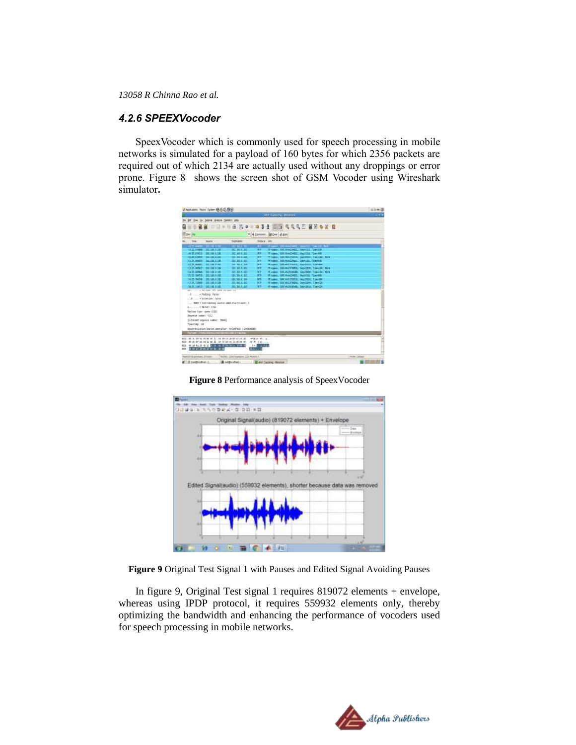#### *4.2.6 SPEEXVocoder*

SpeexVocoder which is commonly used for speech processing in mobile networks is simulated for a payload of 160 bytes for which 2356 packets are required out of which 2134 are actually used without any droppings or error prone. Figure 8 shows the screen shot of GSM Vocoder using Wireshark simulator**.**

| d tokens has been \$60.59             |                                                         |                                   |                   |                                              | <b>Title D</b>    |
|---------------------------------------|---------------------------------------------------------|-----------------------------------|-------------------|----------------------------------------------|-------------------|
|                                       |                                                         |                                   |                   | with Lamping - Streams                       | $\rightarrow$     |
|                                       | In im the in Later hours joint you                      |                                   |                   |                                              |                   |
|                                       |                                                         |                                   |                   | NN ORTHUND TO THE STATE OF THE STATE         |                   |
| <b>Text</b> in                        |                                                         |                                   |                   | * + Earness   KOW + any                      |                   |
| Telegr                                | <b>Wallie - -</b>                                       | <b>Distriction</b>                | <b>Mobile Adv</b> |                                              |                   |
|                                       | <b>TERRITORY</b>                                        | 2723<br>-                         |                   |                                              |                   |
| <b>AT 25 YEAR 1000 BLD FALLS TO F</b> |                                                         | <b>WE</b><br><b>HEMA M</b>        |                   | (Tiges: 180-bad3400, Sevilli, Taylor         |                   |
| ALC: UNCON 198 198 8 181              |                                                         | <b>DE MEA BY</b><br><b>ATT</b>    |                   | Wagon, GRIMADORE, MESTA TOWARD               |                   |
| <b>BE IN COURSE 1980 SHEET SEE</b>    |                                                         | 342,345,826<br><b>WE</b>          |                   | Widow, 19016170030 Sec0033 Toetal ford       |                   |
| 11.2 MAIN 2011 113                    |                                                         | m<br>地球形                          |                   | Trippe: 187-4-ADSEC Gertifi, Torrital        |                   |
| 1125 models that the con-             |                                                         | m<br>2012/01/24                   |                   | Week, TECHNICKE SHOES, TAYOE                 |                   |
| 17.21.000427 102.000.0.004            |                                                         | <b>MF</b><br>30, 38.4 pm          |                   | Hygan, Mit-Acreers, Several Lincoln are      |                   |
| VI 2-HINA BETM KUTL                   |                                                         | <b>MS</b><br>197, 198, N. 981     |                   | Hygger, 104-monthlife, supplied, Tax-Ok, NYL |                   |
| 25 St. Text St. 1 302 S.M. E. 123     |                                                         | <b>TO YAK BE</b><br><b>ATT</b>    |                   | Widow, HALAWARD, SENTIS, TUNISI              |                   |
| 00 25, Techni 1985, AM, 9100          |                                                         | ÷<br>20, 29, 31, 320              |                   | Financi (SCALLTON) Section Texas             |                   |
| 17.00.10400 34.100.2.101              |                                                         | 342, 242, 35, 350<br>m            |                   | Prises: 10016237803, WorldRd, Tier101        |                   |
| 30 St. Transit 1000 St. 2011          |                                                         | m<br>31.38.8 mi                   |                   | Free: Windows Serata factor                  |                   |
|                                       | an a company will play recover the                      |                                   |                   |                                              |                   |
| A .- Adding Felax                     |                                                         |                                   |                   |                                              |                   |
| . B  . Exterior: Fultile              |                                                         |                                   |                   |                                              |                   |
|                                       | 2001 . Contributing slamm start than care: 3            |                                   |                   |                                              |                   |
| 1. A factory True                     |                                                         |                                   |                   |                                              |                   |
|                                       |                                                         |                                   |                   |                                              |                   |
| <b>Eachast type: spec (210)</b>       |                                                         |                                   |                   |                                              |                   |
| <b>Sequence business STLCS</b>        |                                                         |                                   |                   |                                              |                   |
| Simulat separa saber: 70001           |                                                         |                                   |                   |                                              |                   |
| Towston: Int                          |                                                         |                                   |                   |                                              |                   |
|                                       | Societecipation bactor caset chart links/SASS / CASMINS |                                   |                   |                                              |                   |
| $2 - 4x$                              |                                                         | <b>HILL-M-R</b>                   |                   |                                              |                   |
|                                       |                                                         |                                   |                   |                                              |                   |
|                                       | <b>BERNBERGH UNBERGER</b>                               | JP32-16-2-                        |                   |                                              |                   |
|                                       | 在实验系统以图书 矿灰黄素对铁黄素、木木(1)                                 |                                   |                   |                                              |                   |
| <b><i>BY WALLAYS CONSIDERED</i></b>   |                                                         | <b>JA STEEL</b>                   |                   |                                              |                   |
| <b>TERRITORY</b>                      |                                                         |                                   |                   |                                              |                   |
| arms payment. Thomas                  |                                                         | Names, ONE Resistant 2124 Names & |                   |                                              | <b>With right</b> |
|                                       |                                                         |                                   |                   |                                              |                   |
| <b>C. Streetwart</b>                  | <b>Bindingshed</b>                                      |                                   |                   | <b>E</b> ed Catalog Hermet                   |                   |

**Figure 8** Performance analysis of SpeexVocoder





In figure 9, Original Test signal 1 requires 819072 elements + envelope, whereas using IPDP protocol, it requires 559932 elements only, thereby optimizing the bandwidth and enhancing the performance of vocoders used for speech processing in mobile networks.

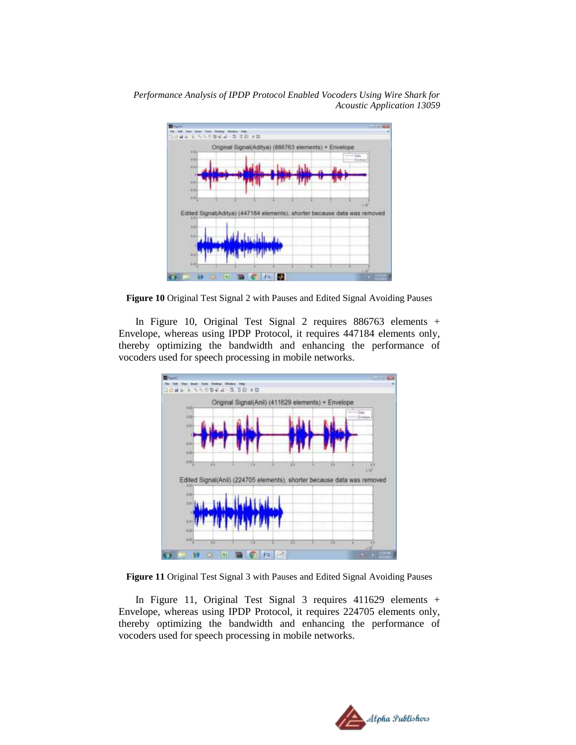

**Figure 10** Original Test Signal 2 with Pauses and Edited Signal Avoiding Pauses

In Figure 10, Original Test Signal 2 requires 886763 elements + Envelope, whereas using IPDP Protocol, it requires 447184 elements only, thereby optimizing the bandwidth and enhancing the performance of vocoders used for speech processing in mobile networks.



**Figure 11** Original Test Signal 3 with Pauses and Edited Signal Avoiding Pauses

In Figure 11, Original Test Signal 3 requires 411629 elements + Envelope, whereas using IPDP Protocol, it requires 224705 elements only, thereby optimizing the bandwidth and enhancing the performance of vocoders used for speech processing in mobile networks.

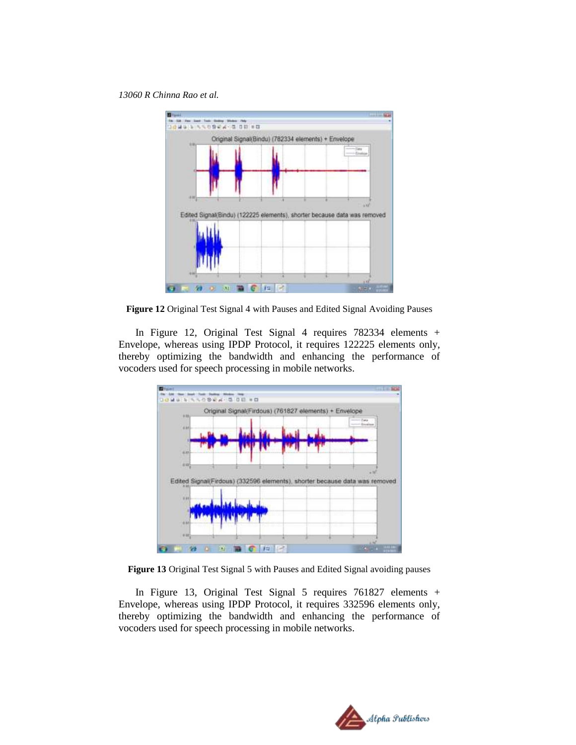

**Figure 12** Original Test Signal 4 with Pauses and Edited Signal Avoiding Pauses

In Figure 12, Original Test Signal 4 requires 782334 elements + Envelope, whereas using IPDP Protocol, it requires 122225 elements only, thereby optimizing the bandwidth and enhancing the performance of vocoders used for speech processing in mobile networks.



**Figure 13** Original Test Signal 5 with Pauses and Edited Signal avoiding pauses

In Figure 13, Original Test Signal 5 requires 761827 elements + Envelope, whereas using IPDP Protocol, it requires 332596 elements only, thereby optimizing the bandwidth and enhancing the performance of vocoders used for speech processing in mobile networks.

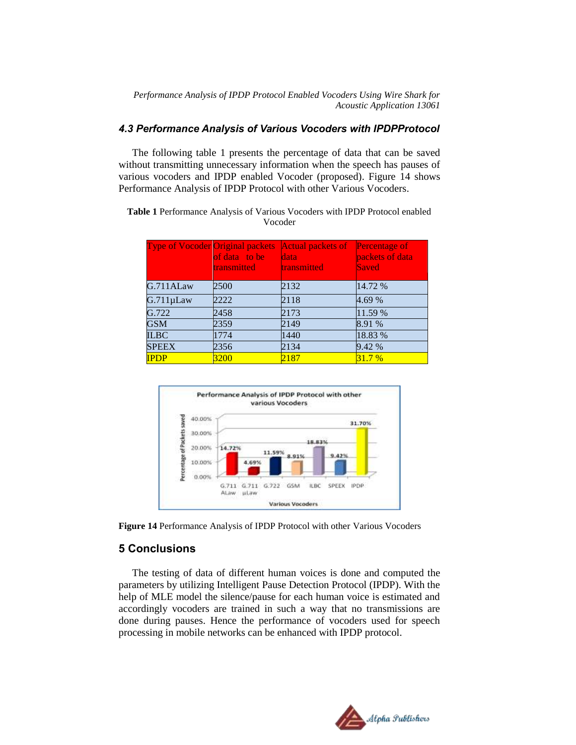#### *4.3 Performance Analysis of Various Vocoders with IPDPProtocol*

The following table 1 presents the percentage of data that can be saved without transmitting unnecessary information when the speech has pauses of various vocoders and IPDP enabled Vocoder (proposed). Figure 14 shows Performance Analysis of IPDP Protocol with other Various Vocoders.

**Table 1** Performance Analysis of Various Vocoders with IPDP Protocol enabled Vocoder

| <b>Type of Vocoder Original packets</b> | of data to be<br><b>transmitted</b> | <b>Actual packets of</b><br>data<br><b>transmitted</b> | <b>Percentage of</b><br>packets of data<br>Saved |
|-----------------------------------------|-------------------------------------|--------------------------------------------------------|--------------------------------------------------|
| G.711ALaw                               | 2500                                | 2132                                                   | 14.72 %                                          |
| $G.711 \mu Law$                         | 2222                                | 2118                                                   | 4.69 %                                           |
| G.722                                   | 2458                                | 2173                                                   | 11.59 %                                          |
| <b>GSM</b>                              | 2359                                | 2149                                                   | 8.91 %                                           |
| <b>ILBC</b>                             | 1774                                | 1440                                                   | 18.83 %                                          |
| <b>SPEEX</b>                            | 2356                                | 2134                                                   | 9.42 %                                           |
| <b>IPDP</b>                             | 3200                                | 2187                                                   | 31.7%                                            |





### **5 Conclusions**

The testing of data of different human voices is done and computed the parameters by utilizing Intelligent Pause Detection Protocol (IPDP). With the help of MLE model the silence/pause for each human voice is estimated and accordingly vocoders are trained in such a way that no transmissions are done during pauses. Hence the performance of vocoders used for speech processing in mobile networks can be enhanced with IPDP protocol.

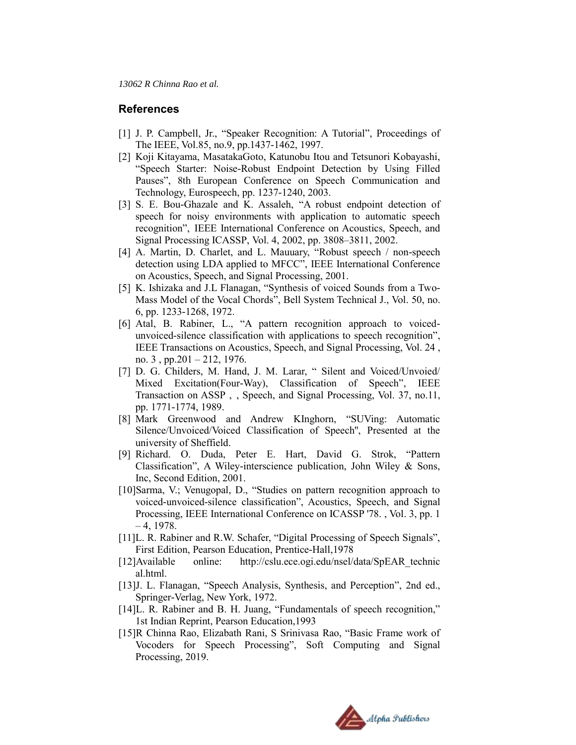#### **References**

- [1] J. P. Campbell, Jr., "Speaker Recognition: A Tutorial", Proceedings of The IEEE, Vol.85, no.9, pp.1437-1462, 1997.
- [2] Koji Kitayama, MasatakaGoto, Katunobu Itou and Tetsunori Kobayashi, "Speech Starter: Noise-Robust Endpoint Detection by Using Filled Pauses", 8th European Conference on Speech Communication and Technology, Eurospeech, pp. 1237-1240, 2003.
- [3] S. E. Bou-Ghazale and K. Assaleh, "A robust endpoint detection of speech for noisy environments with application to automatic speech recognition", IEEE International Conference on Acoustics, Speech, and Signal Processing ICASSP, Vol. 4, 2002, pp. 3808–3811, 2002.
- [4] A. Martin, D. Charlet, and L. Mauuary, "Robust speech / non-speech detection using LDA applied to MFCC", IEEE International Conference on Acoustics, Speech, and Signal Processing, 2001.
- [5] K. Ishizaka and J.L Flanagan, "Synthesis of voiced Sounds from a Two-Mass Model of the Vocal Chords", Bell System Technical J., Vol. 50, no. 6, pp. 1233-1268, 1972.
- [6] Atal, B. Rabiner, L., "A pattern recognition approach to voicedunvoiced-silence classification with applications to speech recognition", IEEE Transactions on Acoustics, Speech, and Signal Processing, Vol. 24 , no. 3, pp.201 – 212, 1976.
- [7] D. G. Childers, M. Hand, J. M. Larar, " Silent and Voiced/Unvoied/ Mixed Excitation(Four-Way), Classification of Speech", IEEE Transaction on ASSP , , Speech, and Signal Processing, Vol. 37, no.11, pp. 1771-1774, 1989.
- [8] Mark Greenwood and Andrew KInghorn, "SUVing: Automatic Silence/Unvoiced/Voiced Classification of Speech'', Presented at the university of Sheffield.
- [9] Richard. O. Duda, Peter E. Hart, David G. Strok, "Pattern Classification", A Wiley-interscience publication, John Wiley & Sons, Inc, Second Edition, 2001.
- [10]Sarma, V.; Venugopal, D., "Studies on pattern recognition approach to voiced-unvoiced-silence classification", Acoustics, Speech, and Signal Processing, IEEE International Conference on ICASSP '78. , Vol. 3, pp. 1  $-4$ , 1978.
- [11] L. R. Rabiner and R.W. Schafer, "Digital Processing of Speech Signals", First Edition, Pearson Education, Prentice-Hall,1978
- [12]Available online: http://cslu.ece.ogi.edu/nsel/data/SpEAR\_technic al.html.
- [13] J. L. Flanagan, "Speech Analysis, Synthesis, and Perception", 2nd ed., Springer-Verlag, New York, 1972.
- [14]L. R. Rabiner and B. H. Juang, "Fundamentals of speech recognition," 1st Indian Reprint, Pearson Education,1993
- [15]R Chinna Rao, Elizabath Rani, S Srinivasa Rao, "Basic Frame work of Vocoders for Speech Processing", Soft Computing and Signal Processing, 2019.